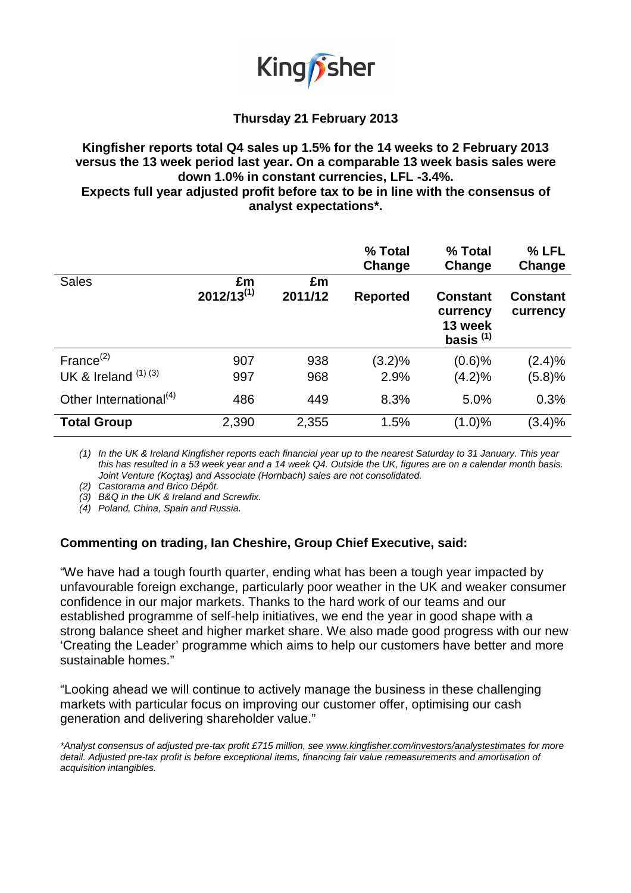

# **Thursday 21 February 2013**

# **Kingfisher reports total Q4 sales up 1.5% for the 14 weeks to 2 February 2013 versus the 13 week period last year. On a comparable 13 week basis sales were down 1.0% in constant currencies, LFL -3.4%.**

**Expects full year adjusted profit before tax to be in line with the consensus of analyst expectations\*.** 

|                                    |                       |               | % Total<br>Change | % Total<br>Change                                     | % LFL<br>Change             |
|------------------------------------|-----------------------|---------------|-------------------|-------------------------------------------------------|-----------------------------|
| <b>Sales</b>                       | £m<br>$2012/13^{(1)}$ | £m<br>2011/12 | <b>Reported</b>   | <b>Constant</b><br>currency<br>13 week<br>basis $(1)$ | <b>Constant</b><br>currency |
| France $^{(2)}$                    | 907                   | 938           | (3.2)%            | $(0.6)$ %                                             | $(2.4)\%$                   |
| UK & Ireland $(1)$ $(3)$           | 997                   | 968           | 2.9%              | (4.2)%                                                | (5.8)%                      |
| Other International <sup>(4)</sup> | 486                   | 449           | 8.3%              | 5.0%                                                  | 0.3%                        |
| <b>Total Group</b>                 | 2,390                 | 2,355         | 1.5%              | $(1.0)\%$                                             | (3.4)%                      |

(1) In the UK & Ireland Kingfisher reports each financial year up to the nearest Saturday to 31 January. This year this has resulted in a 53 week year and a 14 week Q4. Outside the UK, figures are on a calendar month basis. Joint Venture (Koçtaş) and Associate (Hornbach) sales are not consolidated.

(2) Castorama and Brico Dépôt.

(3) B&Q in the UK & Ireland and Screwfix.

(4) Poland, China, Spain and Russia.

## **Commenting on trading, Ian Cheshire, Group Chief Executive, said:**

"We have had a tough fourth quarter, ending what has been a tough year impacted by unfavourable foreign exchange, particularly poor weather in the UK and weaker consumer confidence in our major markets. Thanks to the hard work of our teams and our established programme of self-help initiatives, we end the year in good shape with a strong balance sheet and higher market share. We also made good progress with our new 'Creating the Leader' programme which aims to help our customers have better and more sustainable homes."

"Looking ahead we will continue to actively manage the business in these challenging markets with particular focus on improving our customer offer, optimising our cash generation and delivering shareholder value."

\*Analyst consensus of adjusted pre-tax profit £715 million, see www.kingfisher.com/investors/analystestimates for more detail. Adjusted pre-tax profit is before exceptional items, financing fair value remeasurements and amortisation of acquisition intangibles.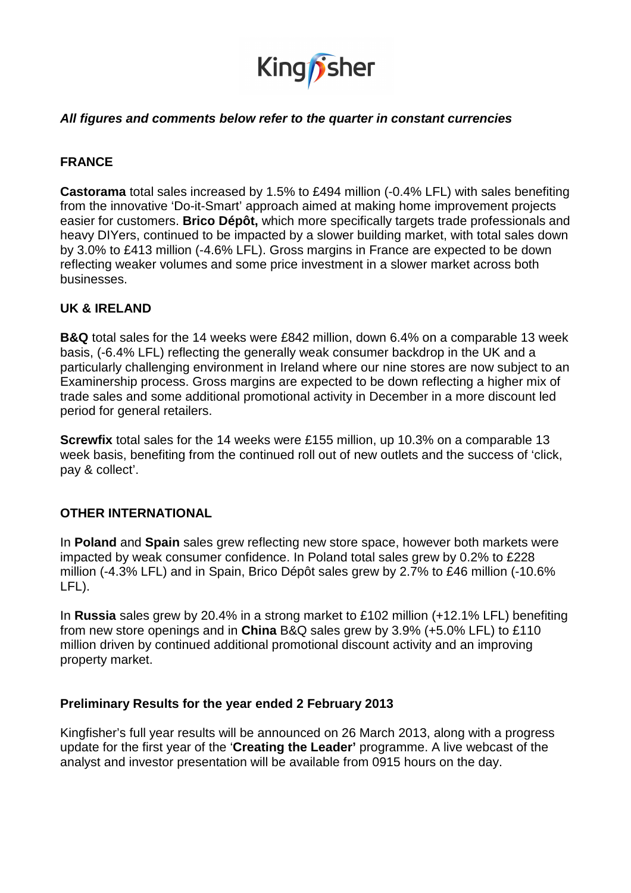

## **All figures and comments below refer to the quarter in constant currencies**

## **FRANCE**

**Castorama** total sales increased by 1.5% to £494 million (-0.4% LFL) with sales benefiting from the innovative 'Do-it-Smart' approach aimed at making home improvement projects easier for customers. **Brico Dépôt,** which more specifically targets trade professionals and heavy DIYers, continued to be impacted by a slower building market, with total sales down by 3.0% to £413 million (-4.6% LFL). Gross margins in France are expected to be down reflecting weaker volumes and some price investment in a slower market across both businesses.

## **UK & IRELAND**

**B&Q** total sales for the 14 weeks were £842 million, down 6.4% on a comparable 13 week basis, (-6.4% LFL) reflecting the generally weak consumer backdrop in the UK and a particularly challenging environment in Ireland where our nine stores are now subject to an Examinership process. Gross margins are expected to be down reflecting a higher mix of trade sales and some additional promotional activity in December in a more discount led period for general retailers.

**Screwfix** total sales for the 14 weeks were £155 million, up 10.3% on a comparable 13 week basis, benefiting from the continued roll out of new outlets and the success of 'click, pay & collect'.

#### **OTHER INTERNATIONAL**

In **Poland** and **Spain** sales grew reflecting new store space, however both markets were impacted by weak consumer confidence. In Poland total sales grew by 0.2% to £228 million (-4.3% LFL) and in Spain, Brico Dépôt sales grew by 2.7% to £46 million (-10.6% LFL).

In **Russia** sales grew by 20.4% in a strong market to £102 million (+12.1% LFL) benefiting from new store openings and in **China** B&Q sales grew by 3.9% (+5.0% LFL) to £110 million driven by continued additional promotional discount activity and an improving property market.

## **Preliminary Results for the year ended 2 February 2013**

Kingfisher's full year results will be announced on 26 March 2013, along with a progress update for the first year of the '**Creating the Leader'** programme. A live webcast of the analyst and investor presentation will be available from 0915 hours on the day.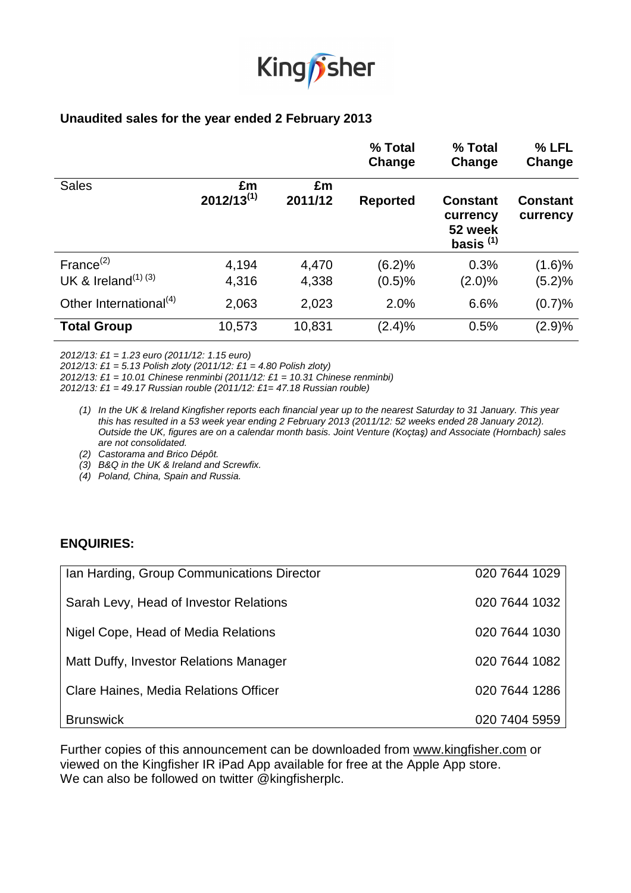

## **Unaudited sales for the year ended 2 February 2013**

|                                    |                       |               | % Total<br>Change | % Total<br>Change                                     | % LFL<br>Change             |
|------------------------------------|-----------------------|---------------|-------------------|-------------------------------------------------------|-----------------------------|
| <b>Sales</b>                       | £m<br>$2012/13^{(1)}$ | £m<br>2011/12 | <b>Reported</b>   | <b>Constant</b><br>currency<br>52 week<br>basis $(1)$ | <b>Constant</b><br>currency |
| France $^{(2)}$                    | 4,194                 | 4,470         | (6.2)%            | 0.3%                                                  | (1.6)%                      |
| UK & Ireland <sup>(1) (3)</sup>    | 4,316                 | 4,338         | (0.5)%            | $(2.0)\%$                                             | (5.2)%                      |
| Other International <sup>(4)</sup> | 2,063                 | 2,023         | 2.0%              | 6.6%                                                  | (0.7)%                      |
| <b>Total Group</b>                 | 10,573                | 10,831        | (2.4)%            | 0.5%                                                  | (2.9)%                      |

2012/13: £1 = 1.23 euro (2011/12: 1.15 euro)

2012/13: £1 = 5.13 Polish zloty (2011/12: £1 = 4.80 Polish zloty)

2012/13: £1 = 10.01 Chinese renminbi (2011/12: £1 = 10.31 Chinese renminbi)

2012/13: £1 = 49.17 Russian rouble  $(2011/12: E1 = 47.18$  Russian rouble)

- (1) In the UK & Ireland Kingfisher reports each financial year up to the nearest Saturday to 31 January. This year this has resulted in a 53 week year ending 2 February 2013 (2011/12: 52 weeks ended 28 January 2012). Outside the UK, figures are on a calendar month basis. Joint Venture (Koçtaş) and Associate (Hornbach) sales are not consolidated.
- (2) Castorama and Brico Dépôt.
- (3) B&Q in the UK & Ireland and Screwfix.
- (4) Poland, China, Spain and Russia.

#### **ENQUIRIES:**

| Ian Harding, Group Communications Director | 020 7644 1029 |
|--------------------------------------------|---------------|
| Sarah Levy, Head of Investor Relations     | 020 7644 1032 |
| Nigel Cope, Head of Media Relations        | 020 7644 1030 |
| Matt Duffy, Investor Relations Manager     | 020 7644 1082 |
| Clare Haines, Media Relations Officer      | 020 7644 1286 |
| <b>Brunswick</b>                           | 020 7404 5959 |

Further copies of this announcement can be downloaded from www.kingfisher.com or viewed on the Kingfisher IR iPad App available for free at the Apple App store. We can also be followed on twitter @kingfisherplc.